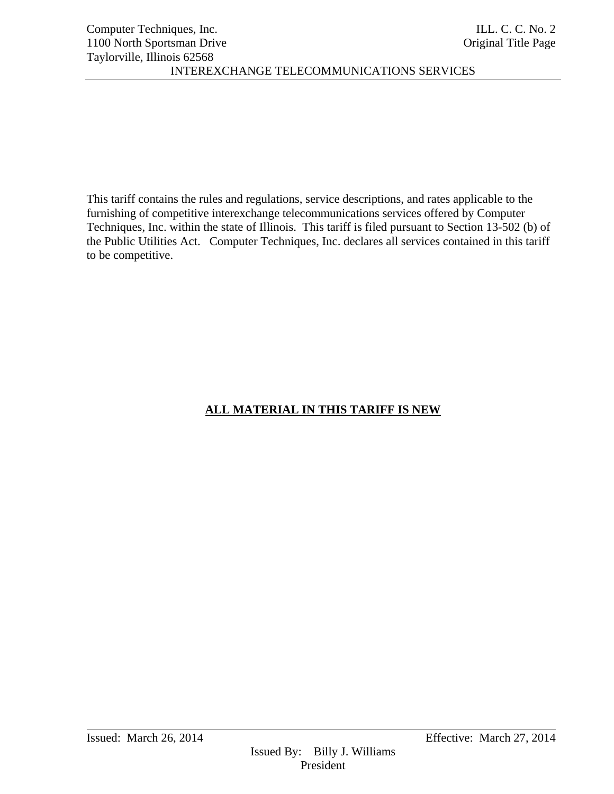This tariff contains the rules and regulations, service descriptions, and rates applicable to the furnishing of competitive interexchange telecommunications services offered by Computer Techniques, Inc. within the state of Illinois. This tariff is filed pursuant to Section 13-502 (b) of the Public Utilities Act. Computer Techniques, Inc. declares all services contained in this tariff to be competitive.

# **ALL MATERIAL IN THIS TARIFF IS NEW**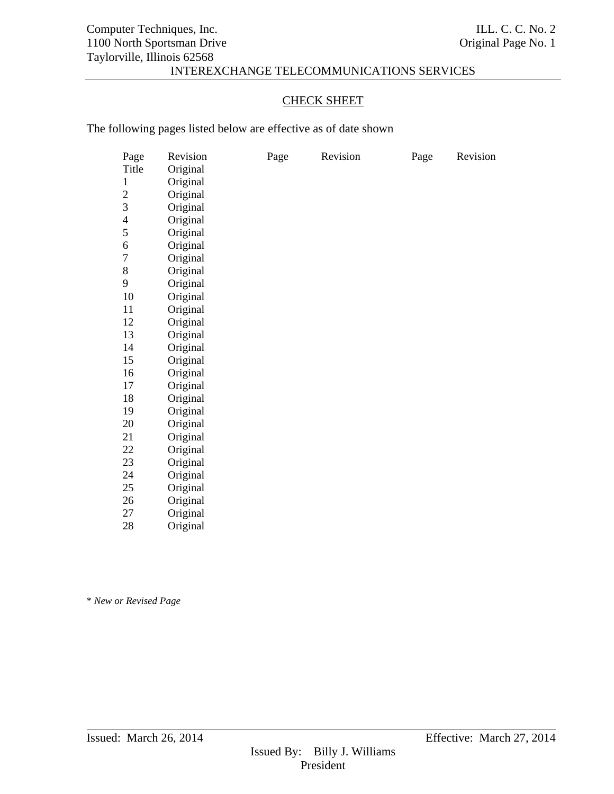# CHECK SHEET

The following pages listed below are effective as of date shown

| Page                     | Revision | Page | Revision | Page | Revision |
|--------------------------|----------|------|----------|------|----------|
| Title                    | Original |      |          |      |          |
| $\mathbf{1}$             | Original |      |          |      |          |
| $\overline{c}$           | Original |      |          |      |          |
| 3                        | Original |      |          |      |          |
| $\overline{\mathcal{A}}$ | Original |      |          |      |          |
| 5                        | Original |      |          |      |          |
| 6                        | Original |      |          |      |          |
| $\overline{7}$           | Original |      |          |      |          |
| $8\,$                    | Original |      |          |      |          |
| 9                        | Original |      |          |      |          |
| 10                       | Original |      |          |      |          |
| 11                       | Original |      |          |      |          |
| 12                       | Original |      |          |      |          |
| 13                       | Original |      |          |      |          |
| 14                       | Original |      |          |      |          |
| 15                       | Original |      |          |      |          |
| 16                       | Original |      |          |      |          |
| 17                       | Original |      |          |      |          |
| 18                       | Original |      |          |      |          |
| 19                       | Original |      |          |      |          |
| 20                       | Original |      |          |      |          |
| 21                       | Original |      |          |      |          |
| 22                       | Original |      |          |      |          |
| 23                       | Original |      |          |      |          |
| 24                       | Original |      |          |      |          |
| 25                       | Original |      |          |      |          |
| 26                       | Original |      |          |      |          |
| 27                       | Original |      |          |      |          |

28 Original

\* *New or Revised Page*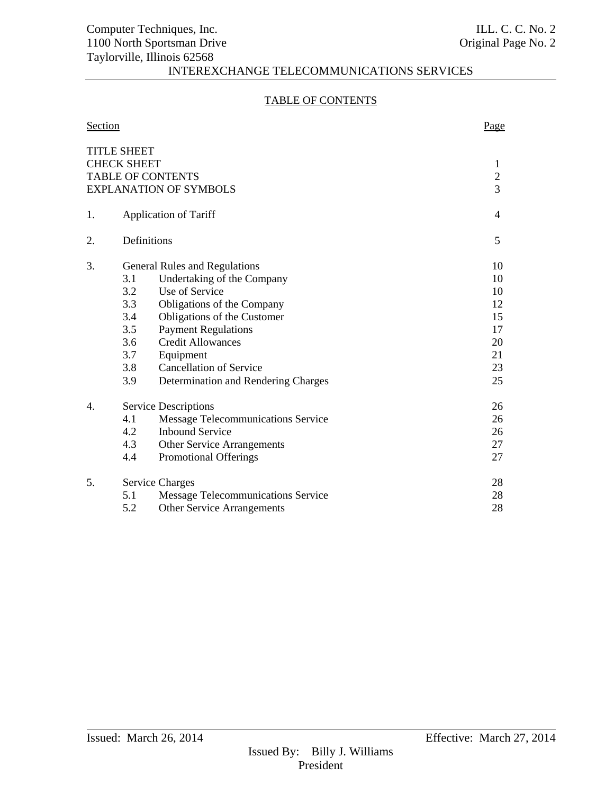# TABLE OF CONTENTS

| Section |                                                             |                                                                                                                                                                                                                                                                                                   | Page                                                     |  |
|---------|-------------------------------------------------------------|---------------------------------------------------------------------------------------------------------------------------------------------------------------------------------------------------------------------------------------------------------------------------------------------------|----------------------------------------------------------|--|
|         | <b>TITLE SHEET</b><br><b>CHECK SHEET</b>                    | <b>TABLE OF CONTENTS</b><br><b>EXPLANATION OF SYMBOLS</b>                                                                                                                                                                                                                                         | 1<br>$\sqrt{2}$<br>3                                     |  |
| 1.      |                                                             | <b>Application of Tariff</b>                                                                                                                                                                                                                                                                      |                                                          |  |
| 2.      |                                                             | Definitions                                                                                                                                                                                                                                                                                       | 5                                                        |  |
| 3.      | 3.1<br>3.2<br>3.3<br>3.4<br>3.5<br>3.6<br>3.7<br>3.8<br>3.9 | <b>General Rules and Regulations</b><br>Undertaking of the Company<br>Use of Service<br>Obligations of the Company<br>Obligations of the Customer<br><b>Payment Regulations</b><br><b>Credit Allowances</b><br>Equipment<br><b>Cancellation of Service</b><br>Determination and Rendering Charges | 10<br>10<br>10<br>12<br>15<br>17<br>20<br>21<br>23<br>25 |  |
| 4.      | 4.1<br>4.2<br>4.3<br>4.4                                    | <b>Service Descriptions</b><br>Message Telecommunications Service<br><b>Inbound Service</b><br><b>Other Service Arrangements</b><br><b>Promotional Offerings</b>                                                                                                                                  | 26<br>26<br>26<br>27<br>27                               |  |
| 5.      | 5.1<br>5.2                                                  | <b>Service Charges</b><br><b>Message Telecommunications Service</b><br><b>Other Service Arrangements</b>                                                                                                                                                                                          | 28<br>28<br>28                                           |  |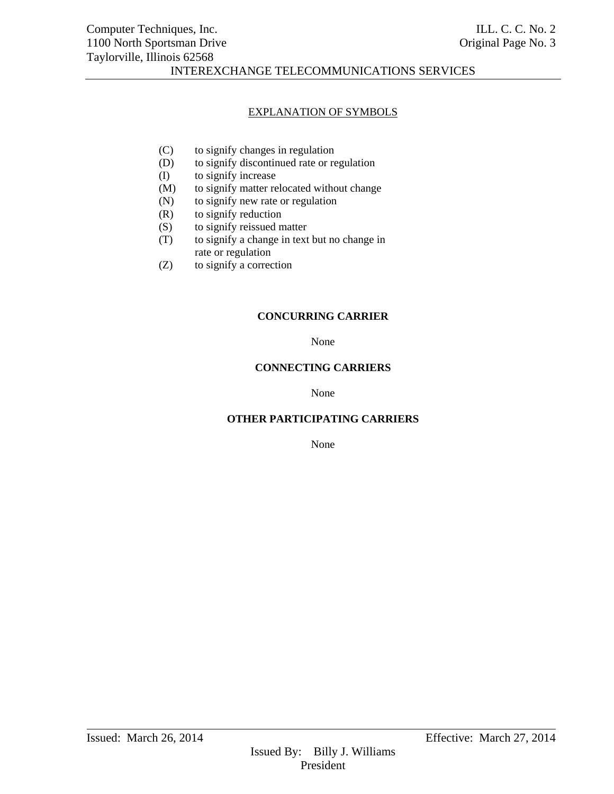#### EXPLANATION OF SYMBOLS

- (C) to signify changes in regulation
- (D) to signify discontinued rate or regulation
- (I) to signify increase
- (M) to signify matter relocated without change
- (N) to signify new rate or regulation
- (R) to signify reduction
- (S) to signify reissued matter
- (T) to signify a change in text but no change in rate or regulation
- (Z) to signify a correction

#### **CONCURRING CARRIER**

None

#### **CONNECTING CARRIERS**

None

# **OTHER PARTICIPATING CARRIERS**

None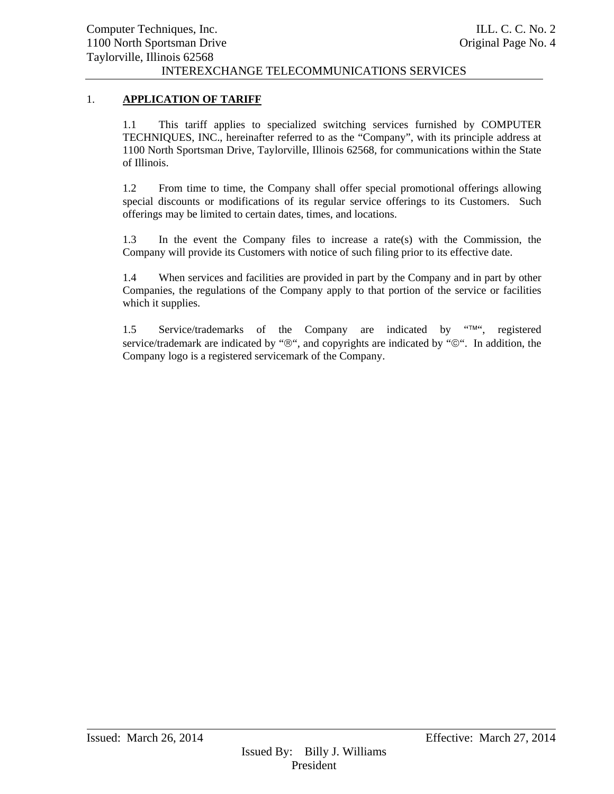# 1. **APPLICATION OF TARIFF**

1.1 This tariff applies to specialized switching services furnished by COMPUTER TECHNIQUES, INC., hereinafter referred to as the "Company", with its principle address at 1100 North Sportsman Drive, Taylorville, Illinois 62568, for communications within the State of Illinois.

1.2 From time to time, the Company shall offer special promotional offerings allowing special discounts or modifications of its regular service offerings to its Customers. Such offerings may be limited to certain dates, times, and locations.

1.3 In the event the Company files to increase a rate(s) with the Commission, the Company will provide its Customers with notice of such filing prior to its effective date.

1.4 When services and facilities are provided in part by the Company and in part by other Companies, the regulations of the Company apply to that portion of the service or facilities which it supplies.

1.5 Service/trademarks of the Company are indicated by  $H_{\text{m}}(t)$ , registered service/trademark are indicated by " $\mathcal{D}$ ", and copyrights are indicated by " $\mathcal{D}$ ". In addition, the Company logo is a registered servicemark of the Company.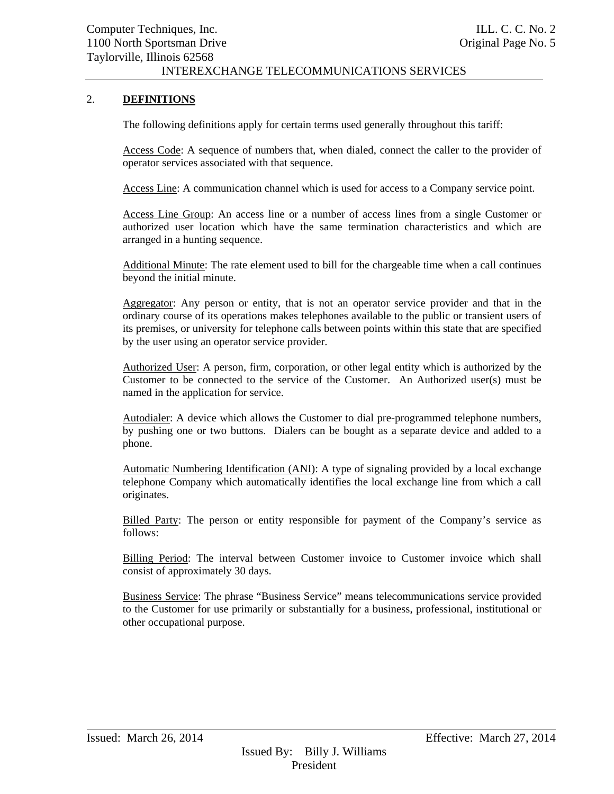# 2. **DEFINITIONS**

The following definitions apply for certain terms used generally throughout this tariff:

Access Code: A sequence of numbers that, when dialed, connect the caller to the provider of operator services associated with that sequence.

Access Line: A communication channel which is used for access to a Company service point.

Access Line Group: An access line or a number of access lines from a single Customer or authorized user location which have the same termination characteristics and which are arranged in a hunting sequence.

Additional Minute: The rate element used to bill for the chargeable time when a call continues beyond the initial minute.

Aggregator: Any person or entity, that is not an operator service provider and that in the ordinary course of its operations makes telephones available to the public or transient users of its premises, or university for telephone calls between points within this state that are specified by the user using an operator service provider.

Authorized User: A person, firm, corporation, or other legal entity which is authorized by the Customer to be connected to the service of the Customer. An Authorized user(s) must be named in the application for service.

Autodialer: A device which allows the Customer to dial pre-programmed telephone numbers, by pushing one or two buttons. Dialers can be bought as a separate device and added to a phone.

Automatic Numbering Identification (ANI): A type of signaling provided by a local exchange telephone Company which automatically identifies the local exchange line from which a call originates.

Billed Party: The person or entity responsible for payment of the Company's service as follows:

Billing Period: The interval between Customer invoice to Customer invoice which shall consist of approximately 30 days.

Business Service: The phrase "Business Service" means telecommunications service provided to the Customer for use primarily or substantially for a business, professional, institutional or other occupational purpose.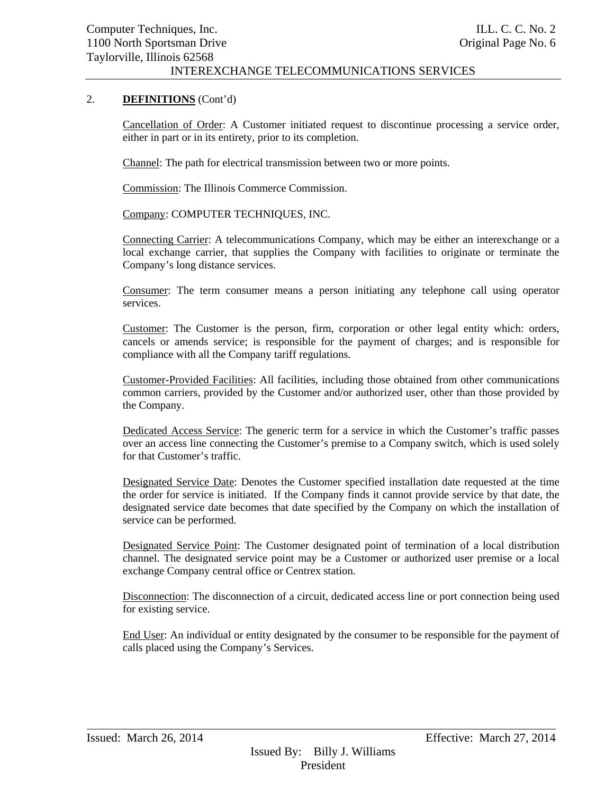# 2. **DEFINITIONS** (Cont'd)

Cancellation of Order: A Customer initiated request to discontinue processing a service order, either in part or in its entirety, prior to its completion.

Channel: The path for electrical transmission between two or more points.

Commission: The Illinois Commerce Commission.

Company: COMPUTER TECHNIQUES, INC.

Connecting Carrier: A telecommunications Company, which may be either an interexchange or a local exchange carrier, that supplies the Company with facilities to originate or terminate the Company's long distance services.

Consumer: The term consumer means a person initiating any telephone call using operator services.

Customer: The Customer is the person, firm, corporation or other legal entity which: orders, cancels or amends service; is responsible for the payment of charges; and is responsible for compliance with all the Company tariff regulations.

Customer-Provided Facilities: All facilities, including those obtained from other communications common carriers, provided by the Customer and/or authorized user, other than those provided by the Company.

Dedicated Access Service: The generic term for a service in which the Customer's traffic passes over an access line connecting the Customer's premise to a Company switch, which is used solely for that Customer's traffic.

Designated Service Date: Denotes the Customer specified installation date requested at the time the order for service is initiated. If the Company finds it cannot provide service by that date, the designated service date becomes that date specified by the Company on which the installation of service can be performed.

Designated Service Point: The Customer designated point of termination of a local distribution channel. The designated service point may be a Customer or authorized user premise or a local exchange Company central office or Centrex station.

Disconnection: The disconnection of a circuit, dedicated access line or port connection being used for existing service.

End User: An individual or entity designated by the consumer to be responsible for the payment of calls placed using the Company's Services.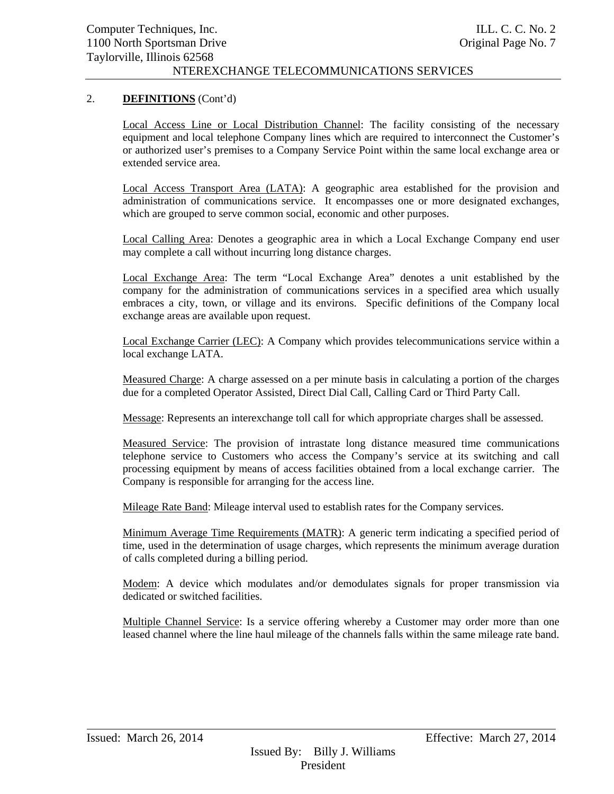# 2. **DEFINITIONS** (Cont'd)

Local Access Line or Local Distribution Channel: The facility consisting of the necessary equipment and local telephone Company lines which are required to interconnect the Customer's or authorized user's premises to a Company Service Point within the same local exchange area or extended service area.

Local Access Transport Area (LATA): A geographic area established for the provision and administration of communications service. It encompasses one or more designated exchanges, which are grouped to serve common social, economic and other purposes.

Local Calling Area: Denotes a geographic area in which a Local Exchange Company end user may complete a call without incurring long distance charges.

Local Exchange Area: The term "Local Exchange Area" denotes a unit established by the company for the administration of communications services in a specified area which usually embraces a city, town, or village and its environs. Specific definitions of the Company local exchange areas are available upon request.

Local Exchange Carrier (LEC): A Company which provides telecommunications service within a local exchange LATA.

Measured Charge: A charge assessed on a per minute basis in calculating a portion of the charges due for a completed Operator Assisted, Direct Dial Call, Calling Card or Third Party Call.

Message: Represents an interexchange toll call for which appropriate charges shall be assessed.

Measured Service: The provision of intrastate long distance measured time communications telephone service to Customers who access the Company's service at its switching and call processing equipment by means of access facilities obtained from a local exchange carrier. The Company is responsible for arranging for the access line.

Mileage Rate Band: Mileage interval used to establish rates for the Company services.

Minimum Average Time Requirements (MATR): A generic term indicating a specified period of time, used in the determination of usage charges, which represents the minimum average duration of calls completed during a billing period.

Modem: A device which modulates and/or demodulates signals for proper transmission via dedicated or switched facilities.

Multiple Channel Service: Is a service offering whereby a Customer may order more than one leased channel where the line haul mileage of the channels falls within the same mileage rate band.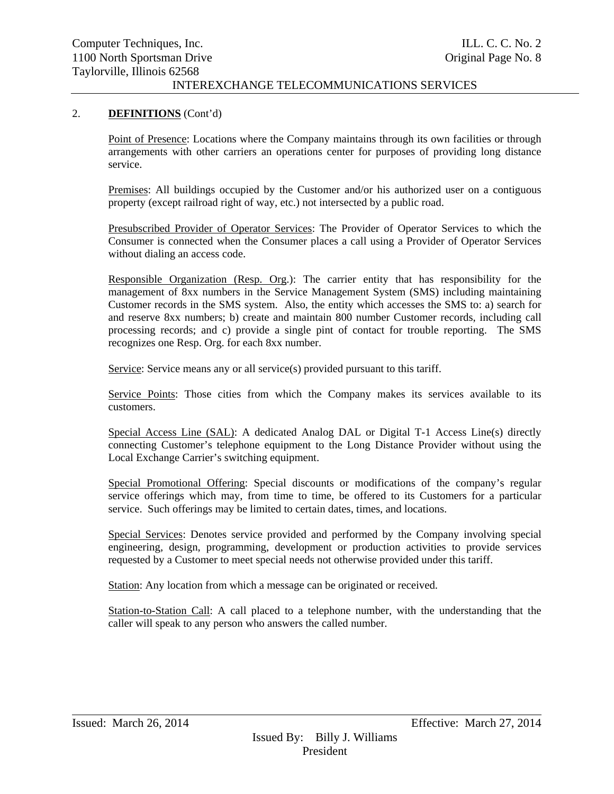#### 2. **DEFINITIONS** (Cont'd)

Point of Presence: Locations where the Company maintains through its own facilities or through arrangements with other carriers an operations center for purposes of providing long distance service.

Premises: All buildings occupied by the Customer and/or his authorized user on a contiguous property (except railroad right of way, etc.) not intersected by a public road.

Presubscribed Provider of Operator Services: The Provider of Operator Services to which the Consumer is connected when the Consumer places a call using a Provider of Operator Services without dialing an access code.

Responsible Organization (Resp. Org.): The carrier entity that has responsibility for the management of 8xx numbers in the Service Management System (SMS) including maintaining Customer records in the SMS system. Also, the entity which accesses the SMS to: a) search for and reserve 8xx numbers; b) create and maintain 800 number Customer records, including call processing records; and c) provide a single pint of contact for trouble reporting. The SMS recognizes one Resp. Org. for each 8xx number.

Service: Service means any or all service(s) provided pursuant to this tariff.

Service Points: Those cities from which the Company makes its services available to its customers.

Special Access Line (SAL): A dedicated Analog DAL or Digital T-1 Access Line(s) directly connecting Customer's telephone equipment to the Long Distance Provider without using the Local Exchange Carrier's switching equipment.

Special Promotional Offering: Special discounts or modifications of the company's regular service offerings which may, from time to time, be offered to its Customers for a particular service. Such offerings may be limited to certain dates, times, and locations.

Special Services: Denotes service provided and performed by the Company involving special engineering, design, programming, development or production activities to provide services requested by a Customer to meet special needs not otherwise provided under this tariff.

Station: Any location from which a message can be originated or received.

Station-to-Station Call: A call placed to a telephone number, with the understanding that the caller will speak to any person who answers the called number.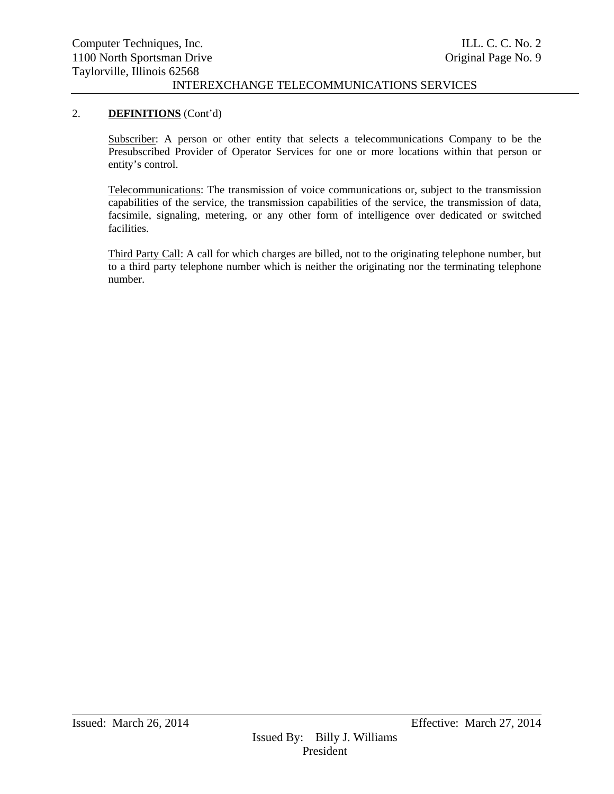#### 2. **DEFINITIONS** (Cont'd)

Subscriber: A person or other entity that selects a telecommunications Company to be the Presubscribed Provider of Operator Services for one or more locations within that person or entity's control.

Telecommunications: The transmission of voice communications or, subject to the transmission capabilities of the service, the transmission capabilities of the service, the transmission of data, facsimile, signaling, metering, or any other form of intelligence over dedicated or switched facilities.

Third Party Call: A call for which charges are billed, not to the originating telephone number, but to a third party telephone number which is neither the originating nor the terminating telephone number.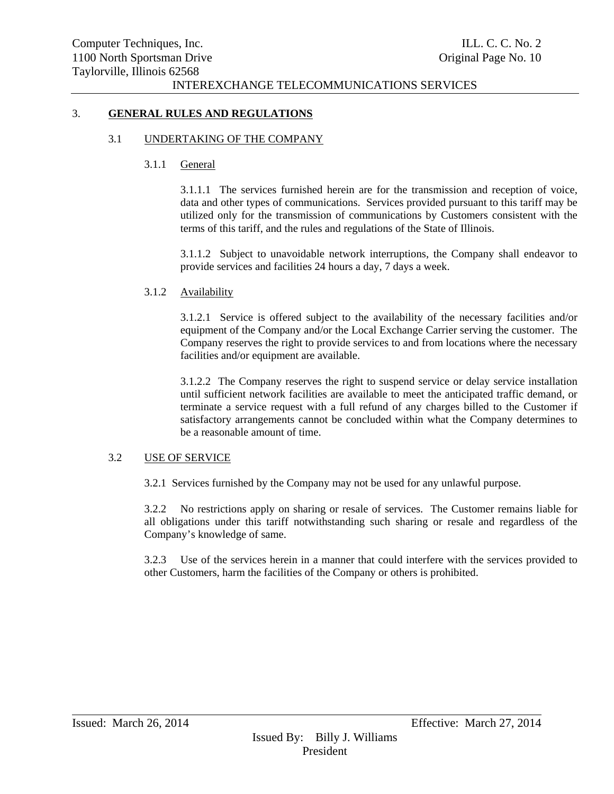#### 3. **GENERAL RULES AND REGULATIONS**

#### 3.1 UNDERTAKING OF THE COMPANY

#### 3.1.1 General

3.1.1.1 The services furnished herein are for the transmission and reception of voice, data and other types of communications. Services provided pursuant to this tariff may be utilized only for the transmission of communications by Customers consistent with the terms of this tariff, and the rules and regulations of the State of Illinois.

3.1.1.2 Subject to unavoidable network interruptions, the Company shall endeavor to provide services and facilities 24 hours a day, 7 days a week.

#### 3.1.2 Availability

3.1.2.1 Service is offered subject to the availability of the necessary facilities and/or equipment of the Company and/or the Local Exchange Carrier serving the customer. The Company reserves the right to provide services to and from locations where the necessary facilities and/or equipment are available.

3.1.2.2 The Company reserves the right to suspend service or delay service installation until sufficient network facilities are available to meet the anticipated traffic demand, or terminate a service request with a full refund of any charges billed to the Customer if satisfactory arrangements cannot be concluded within what the Company determines to be a reasonable amount of time.

#### 3.2 USE OF SERVICE

3.2.1 Services furnished by the Company may not be used for any unlawful purpose.

3.2.2 No restrictions apply on sharing or resale of services. The Customer remains liable for all obligations under this tariff notwithstanding such sharing or resale and regardless of the Company's knowledge of same.

3.2.3 Use of the services herein in a manner that could interfere with the services provided to other Customers, harm the facilities of the Company or others is prohibited.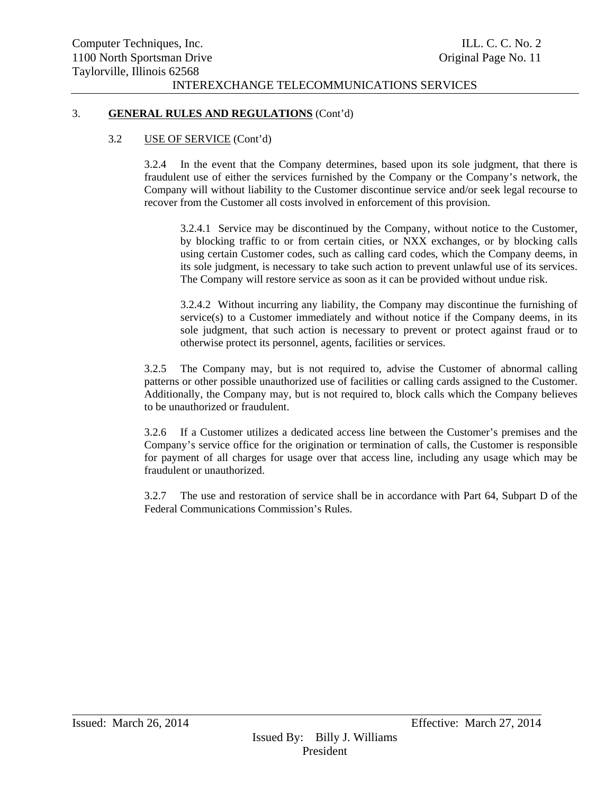#### 3. **GENERAL RULES AND REGULATIONS** (Cont'd)

#### 3.2 USE OF SERVICE (Cont'd)

3.2.4 In the event that the Company determines, based upon its sole judgment, that there is fraudulent use of either the services furnished by the Company or the Company's network, the Company will without liability to the Customer discontinue service and/or seek legal recourse to recover from the Customer all costs involved in enforcement of this provision.

3.2.4.1 Service may be discontinued by the Company, without notice to the Customer, by blocking traffic to or from certain cities, or NXX exchanges, or by blocking calls using certain Customer codes, such as calling card codes, which the Company deems, in its sole judgment, is necessary to take such action to prevent unlawful use of its services. The Company will restore service as soon as it can be provided without undue risk.

3.2.4.2 Without incurring any liability, the Company may discontinue the furnishing of  $s$ ervice $(s)$  to a Customer immediately and without notice if the Company deems, in its sole judgment, that such action is necessary to prevent or protect against fraud or to otherwise protect its personnel, agents, facilities or services.

3.2.5 The Company may, but is not required to, advise the Customer of abnormal calling patterns or other possible unauthorized use of facilities or calling cards assigned to the Customer. Additionally, the Company may, but is not required to, block calls which the Company believes to be unauthorized or fraudulent.

3.2.6 If a Customer utilizes a dedicated access line between the Customer's premises and the Company's service office for the origination or termination of calls, the Customer is responsible for payment of all charges for usage over that access line, including any usage which may be fraudulent or unauthorized.

3.2.7 The use and restoration of service shall be in accordance with Part 64, Subpart D of the Federal Communications Commission's Rules.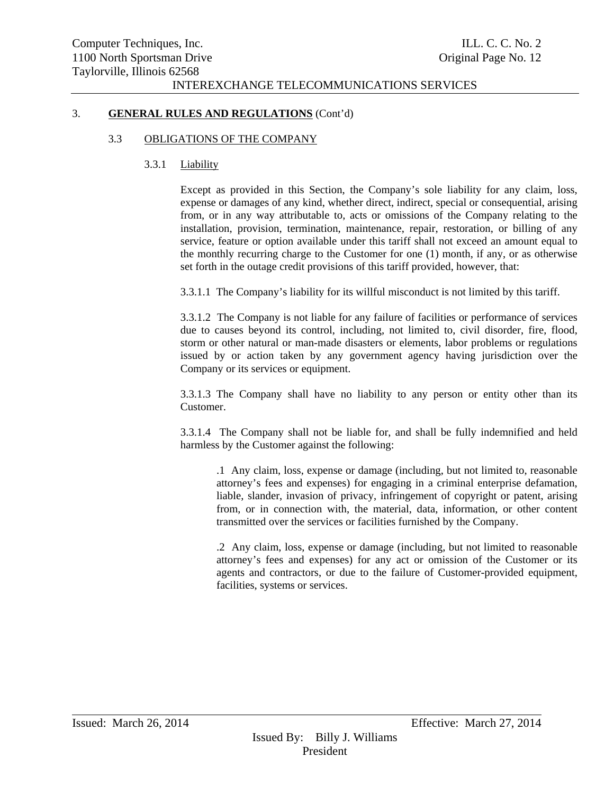#### 3. **GENERAL RULES AND REGULATIONS** (Cont'd)

#### 3.3 OBLIGATIONS OF THE COMPANY

## 3.3.1 Liability

Except as provided in this Section, the Company's sole liability for any claim, loss, expense or damages of any kind, whether direct, indirect, special or consequential, arising from, or in any way attributable to, acts or omissions of the Company relating to the installation, provision, termination, maintenance, repair, restoration, or billing of any service, feature or option available under this tariff shall not exceed an amount equal to the monthly recurring charge to the Customer for one (1) month, if any, or as otherwise set forth in the outage credit provisions of this tariff provided, however, that:

3.3.1.1 The Company's liability for its willful misconduct is not limited by this tariff.

3.3.1.2 The Company is not liable for any failure of facilities or performance of services due to causes beyond its control, including, not limited to, civil disorder, fire, flood, storm or other natural or man-made disasters or elements, labor problems or regulations issued by or action taken by any government agency having jurisdiction over the Company or its services or equipment.

3.3.1.3 The Company shall have no liability to any person or entity other than its Customer.

3.3.1.4 The Company shall not be liable for, and shall be fully indemnified and held harmless by the Customer against the following:

.1 Any claim, loss, expense or damage (including, but not limited to, reasonable attorney's fees and expenses) for engaging in a criminal enterprise defamation, liable, slander, invasion of privacy, infringement of copyright or patent, arising from, or in connection with, the material, data, information, or other content transmitted over the services or facilities furnished by the Company.

.2 Any claim, loss, expense or damage (including, but not limited to reasonable attorney's fees and expenses) for any act or omission of the Customer or its agents and contractors, or due to the failure of Customer-provided equipment, facilities, systems or services.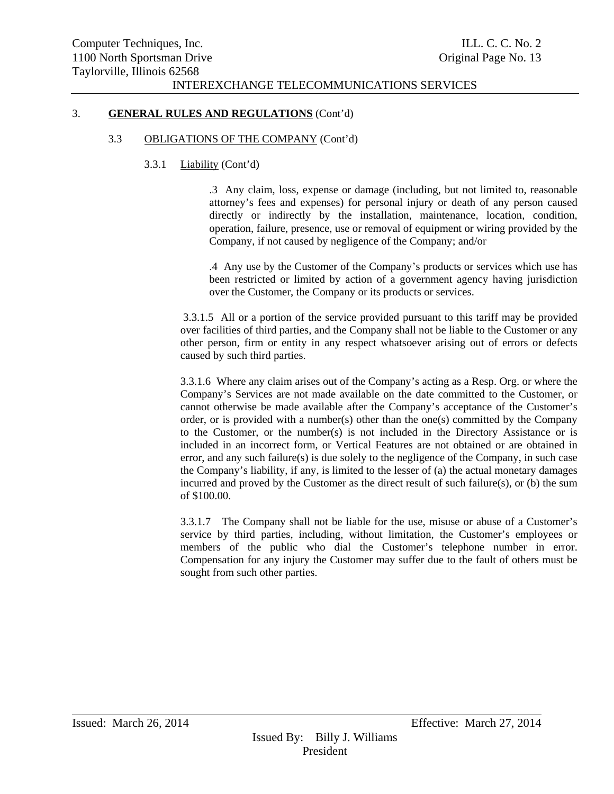#### 3. **GENERAL RULES AND REGULATIONS** (Cont'd)

#### 3.3 OBLIGATIONS OF THE COMPANY (Cont'd)

## 3.3.1 Liability (Cont'd)

.3 Any claim, loss, expense or damage (including, but not limited to, reasonable attorney's fees and expenses) for personal injury or death of any person caused directly or indirectly by the installation, maintenance, location, condition, operation, failure, presence, use or removal of equipment or wiring provided by the Company, if not caused by negligence of the Company; and/or

.4 Any use by the Customer of the Company's products or services which use has been restricted or limited by action of a government agency having jurisdiction over the Customer, the Company or its products or services.

 3.3.1.5 All or a portion of the service provided pursuant to this tariff may be provided over facilities of third parties, and the Company shall not be liable to the Customer or any other person, firm or entity in any respect whatsoever arising out of errors or defects caused by such third parties.

3.3.1.6 Where any claim arises out of the Company's acting as a Resp. Org. or where the Company's Services are not made available on the date committed to the Customer, or cannot otherwise be made available after the Company's acceptance of the Customer's order, or is provided with a number(s) other than the one(s) committed by the Company to the Customer, or the number(s) is not included in the Directory Assistance or is included in an incorrect form, or Vertical Features are not obtained or are obtained in error, and any such failure(s) is due solely to the negligence of the Company, in such case the Company's liability, if any, is limited to the lesser of (a) the actual monetary damages incurred and proved by the Customer as the direct result of such failure(s), or (b) the sum of \$100.00.

3.3.1.7 The Company shall not be liable for the use, misuse or abuse of a Customer's service by third parties, including, without limitation, the Customer's employees or members of the public who dial the Customer's telephone number in error. Compensation for any injury the Customer may suffer due to the fault of others must be sought from such other parties.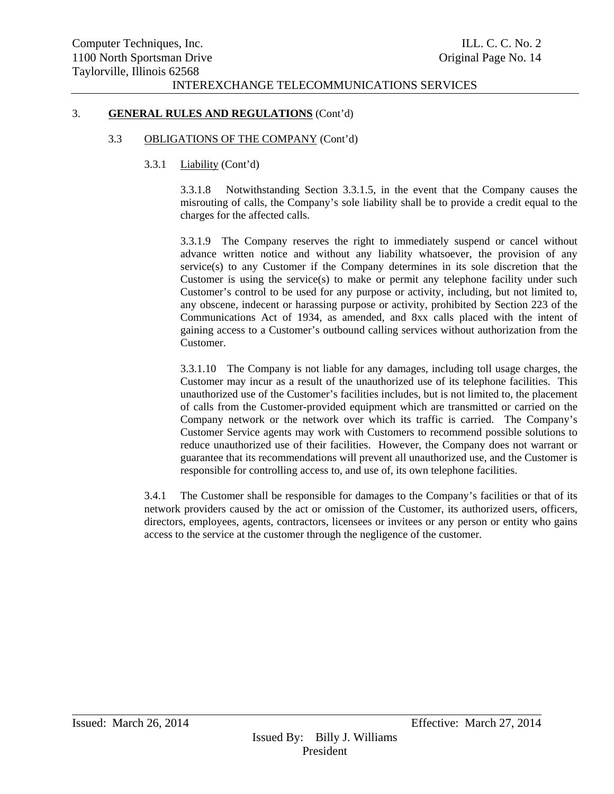#### 3. **GENERAL RULES AND REGULATIONS** (Cont'd)

#### 3.3 OBLIGATIONS OF THE COMPANY (Cont'd)

## 3.3.1 Liability (Cont'd)

3.3.1.8 Notwithstanding Section 3.3.1.5, in the event that the Company causes the misrouting of calls, the Company's sole liability shall be to provide a credit equal to the charges for the affected calls.

3.3.1.9 The Company reserves the right to immediately suspend or cancel without advance written notice and without any liability whatsoever, the provision of any service(s) to any Customer if the Company determines in its sole discretion that the Customer is using the service(s) to make or permit any telephone facility under such Customer's control to be used for any purpose or activity, including, but not limited to, any obscene, indecent or harassing purpose or activity, prohibited by Section 223 of the Communications Act of 1934, as amended, and 8xx calls placed with the intent of gaining access to a Customer's outbound calling services without authorization from the Customer.

3.3.1.10 The Company is not liable for any damages, including toll usage charges, the Customer may incur as a result of the unauthorized use of its telephone facilities. This unauthorized use of the Customer's facilities includes, but is not limited to, the placement of calls from the Customer-provided equipment which are transmitted or carried on the Company network or the network over which its traffic is carried. The Company's Customer Service agents may work with Customers to recommend possible solutions to reduce unauthorized use of their facilities. However, the Company does not warrant or guarantee that its recommendations will prevent all unauthorized use, and the Customer is responsible for controlling access to, and use of, its own telephone facilities.

3.4.1 The Customer shall be responsible for damages to the Company's facilities or that of its network providers caused by the act or omission of the Customer, its authorized users, officers, directors, employees, agents, contractors, licensees or invitees or any person or entity who gains access to the service at the customer through the negligence of the customer.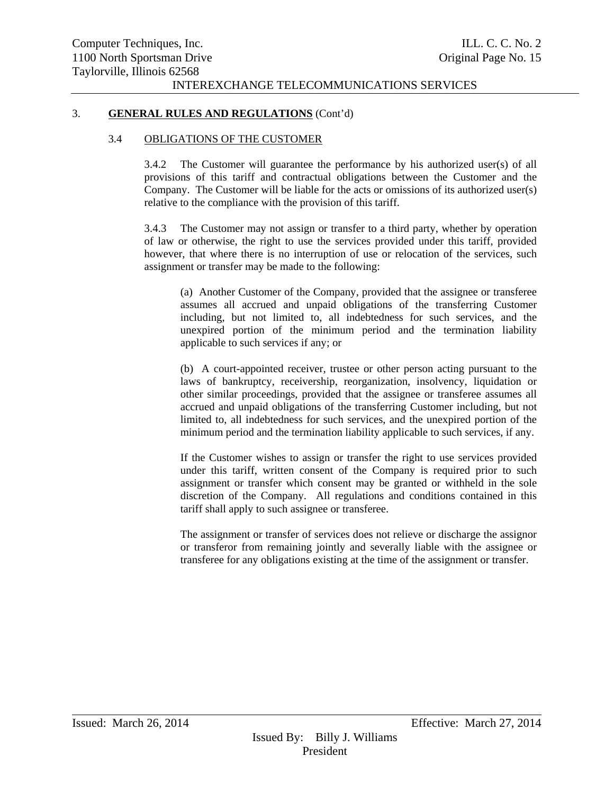#### 3. **GENERAL RULES AND REGULATIONS** (Cont'd)

#### 3.4 OBLIGATIONS OF THE CUSTOMER

3.4.2 The Customer will guarantee the performance by his authorized user(s) of all provisions of this tariff and contractual obligations between the Customer and the Company. The Customer will be liable for the acts or omissions of its authorized user(s) relative to the compliance with the provision of this tariff.

3.4.3 The Customer may not assign or transfer to a third party, whether by operation of law or otherwise, the right to use the services provided under this tariff, provided however, that where there is no interruption of use or relocation of the services, such assignment or transfer may be made to the following:

(a) Another Customer of the Company, provided that the assignee or transferee assumes all accrued and unpaid obligations of the transferring Customer including, but not limited to, all indebtedness for such services, and the unexpired portion of the minimum period and the termination liability applicable to such services if any; or

(b) A court-appointed receiver, trustee or other person acting pursuant to the laws of bankruptcy, receivership, reorganization, insolvency, liquidation or other similar proceedings, provided that the assignee or transferee assumes all accrued and unpaid obligations of the transferring Customer including, but not limited to, all indebtedness for such services, and the unexpired portion of the minimum period and the termination liability applicable to such services, if any.

If the Customer wishes to assign or transfer the right to use services provided under this tariff, written consent of the Company is required prior to such assignment or transfer which consent may be granted or withheld in the sole discretion of the Company. All regulations and conditions contained in this tariff shall apply to such assignee or transferee.

The assignment or transfer of services does not relieve or discharge the assignor or transferor from remaining jointly and severally liable with the assignee or transferee for any obligations existing at the time of the assignment or transfer.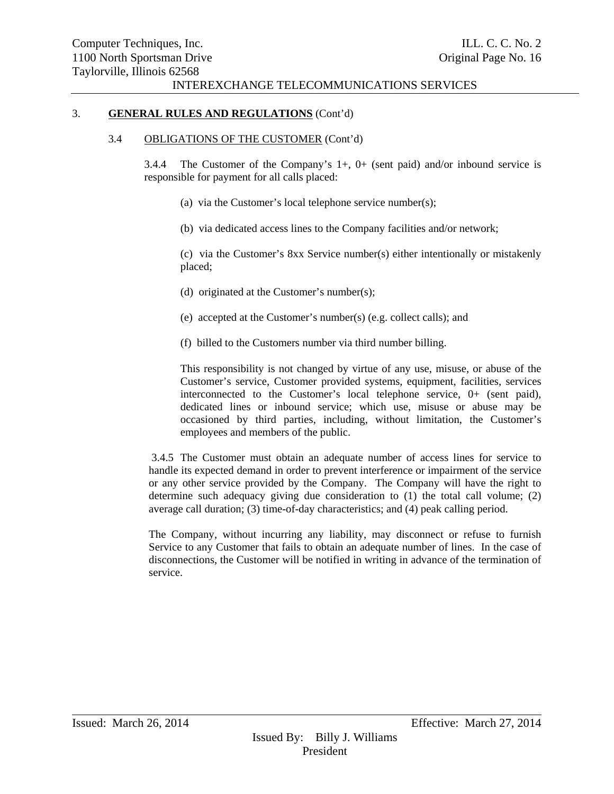#### 3. **GENERAL RULES AND REGULATIONS** (Cont'd)

#### 3.4 OBLIGATIONS OF THE CUSTOMER (Cont'd)

3.4.4 The Customer of the Company's 1+, 0+ (sent paid) and/or inbound service is responsible for payment for all calls placed:

- (a) via the Customer's local telephone service number(s);
- (b) via dedicated access lines to the Company facilities and/or network;

(c) via the Customer's 8xx Service number(s) either intentionally or mistakenly placed;

- (d) originated at the Customer's number(s);
- (e) accepted at the Customer's number(s) (e.g. collect calls); and
- (f) billed to the Customers number via third number billing.

This responsibility is not changed by virtue of any use, misuse, or abuse of the Customer's service, Customer provided systems, equipment, facilities, services interconnected to the Customer's local telephone service, 0+ (sent paid), dedicated lines or inbound service; which use, misuse or abuse may be occasioned by third parties, including, without limitation, the Customer's employees and members of the public.

 3.4.5 The Customer must obtain an adequate number of access lines for service to handle its expected demand in order to prevent interference or impairment of the service or any other service provided by the Company. The Company will have the right to determine such adequacy giving due consideration to (1) the total call volume; (2) average call duration; (3) time-of-day characteristics; and (4) peak calling period.

The Company, without incurring any liability, may disconnect or refuse to furnish Service to any Customer that fails to obtain an adequate number of lines. In the case of disconnections, the Customer will be notified in writing in advance of the termination of service.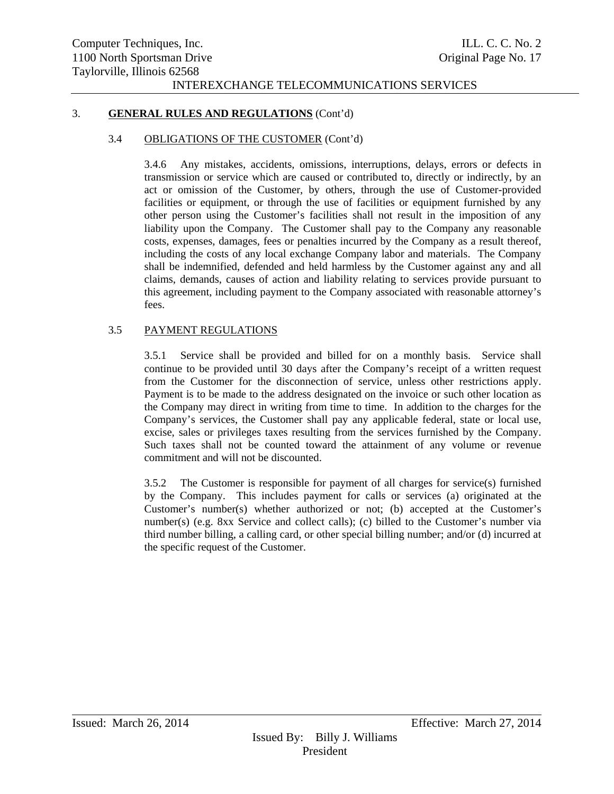#### 3. **GENERAL RULES AND REGULATIONS** (Cont'd)

#### 3.4 OBLIGATIONS OF THE CUSTOMER (Cont'd)

3.4.6 Any mistakes, accidents, omissions, interruptions, delays, errors or defects in transmission or service which are caused or contributed to, directly or indirectly, by an act or omission of the Customer, by others, through the use of Customer-provided facilities or equipment, or through the use of facilities or equipment furnished by any other person using the Customer's facilities shall not result in the imposition of any liability upon the Company. The Customer shall pay to the Company any reasonable costs, expenses, damages, fees or penalties incurred by the Company as a result thereof, including the costs of any local exchange Company labor and materials. The Company shall be indemnified, defended and held harmless by the Customer against any and all claims, demands, causes of action and liability relating to services provide pursuant to this agreement, including payment to the Company associated with reasonable attorney's fees.

## 3.5 PAYMENT REGULATIONS

3.5.1 Service shall be provided and billed for on a monthly basis. Service shall continue to be provided until 30 days after the Company's receipt of a written request from the Customer for the disconnection of service, unless other restrictions apply. Payment is to be made to the address designated on the invoice or such other location as the Company may direct in writing from time to time. In addition to the charges for the Company's services, the Customer shall pay any applicable federal, state or local use, excise, sales or privileges taxes resulting from the services furnished by the Company. Such taxes shall not be counted toward the attainment of any volume or revenue commitment and will not be discounted.

3.5.2 The Customer is responsible for payment of all charges for service(s) furnished by the Company. This includes payment for calls or services (a) originated at the Customer's number(s) whether authorized or not; (b) accepted at the Customer's number(s) (e.g. 8xx Service and collect calls); (c) billed to the Customer's number via third number billing, a calling card, or other special billing number; and/or (d) incurred at the specific request of the Customer.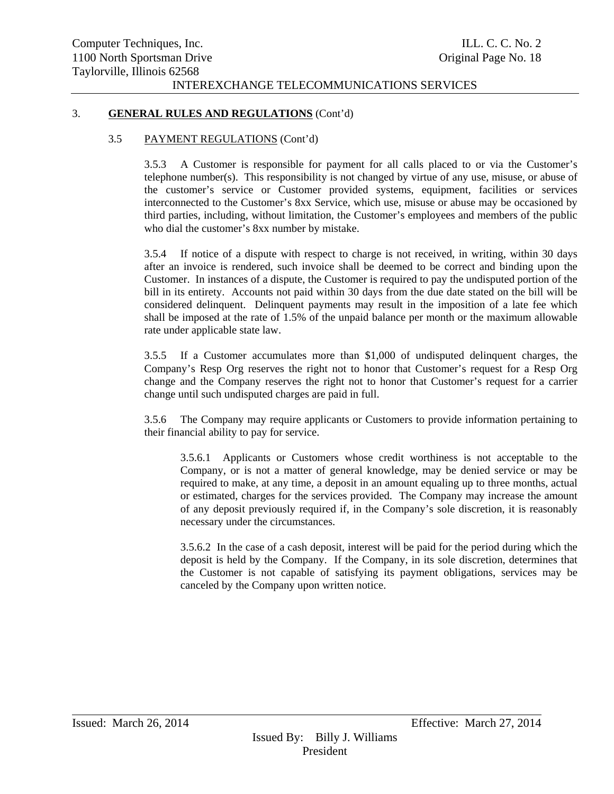#### 3. **GENERAL RULES AND REGULATIONS** (Cont'd)

#### 3.5 PAYMENT REGULATIONS (Cont'd)

3.5.3 A Customer is responsible for payment for all calls placed to or via the Customer's telephone number(s). This responsibility is not changed by virtue of any use, misuse, or abuse of the customer's service or Customer provided systems, equipment, facilities or services interconnected to the Customer's 8xx Service, which use, misuse or abuse may be occasioned by third parties, including, without limitation, the Customer's employees and members of the public who dial the customer's 8xx number by mistake.

3.5.4 If notice of a dispute with respect to charge is not received, in writing, within 30 days after an invoice is rendered, such invoice shall be deemed to be correct and binding upon the Customer. In instances of a dispute, the Customer is required to pay the undisputed portion of the bill in its entirety. Accounts not paid within 30 days from the due date stated on the bill will be considered delinquent. Delinquent payments may result in the imposition of a late fee which shall be imposed at the rate of 1.5% of the unpaid balance per month or the maximum allowable rate under applicable state law.

3.5.5 If a Customer accumulates more than \$1,000 of undisputed delinquent charges, the Company's Resp Org reserves the right not to honor that Customer's request for a Resp Org change and the Company reserves the right not to honor that Customer's request for a carrier change until such undisputed charges are paid in full.

3.5.6 The Company may require applicants or Customers to provide information pertaining to their financial ability to pay for service.

3.5.6.1 Applicants or Customers whose credit worthiness is not acceptable to the Company, or is not a matter of general knowledge, may be denied service or may be required to make, at any time, a deposit in an amount equaling up to three months, actual or estimated, charges for the services provided. The Company may increase the amount of any deposit previously required if, in the Company's sole discretion, it is reasonably necessary under the circumstances.

3.5.6.2 In the case of a cash deposit, interest will be paid for the period during which the deposit is held by the Company. If the Company, in its sole discretion, determines that the Customer is not capable of satisfying its payment obligations, services may be canceled by the Company upon written notice.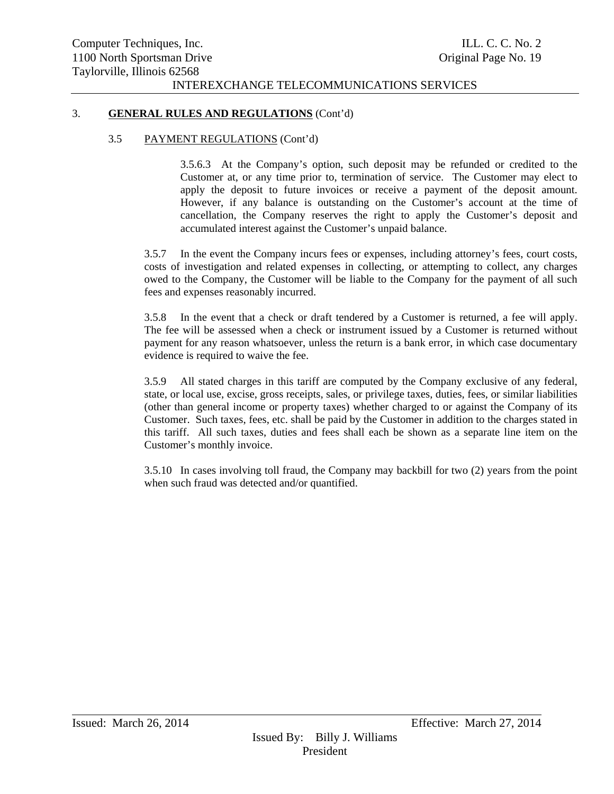#### 3. **GENERAL RULES AND REGULATIONS** (Cont'd)

#### 3.5 PAYMENT REGULATIONS (Cont'd)

3.5.6.3 At the Company's option, such deposit may be refunded or credited to the Customer at, or any time prior to, termination of service. The Customer may elect to apply the deposit to future invoices or receive a payment of the deposit amount. However, if any balance is outstanding on the Customer's account at the time of cancellation, the Company reserves the right to apply the Customer's deposit and accumulated interest against the Customer's unpaid balance.

3.5.7 In the event the Company incurs fees or expenses, including attorney's fees, court costs, costs of investigation and related expenses in collecting, or attempting to collect, any charges owed to the Company, the Customer will be liable to the Company for the payment of all such fees and expenses reasonably incurred.

3.5.8 In the event that a check or draft tendered by a Customer is returned, a fee will apply. The fee will be assessed when a check or instrument issued by a Customer is returned without payment for any reason whatsoever, unless the return is a bank error, in which case documentary evidence is required to waive the fee.

3.5.9 All stated charges in this tariff are computed by the Company exclusive of any federal, state, or local use, excise, gross receipts, sales, or privilege taxes, duties, fees, or similar liabilities (other than general income or property taxes) whether charged to or against the Company of its Customer. Such taxes, fees, etc. shall be paid by the Customer in addition to the charges stated in this tariff. All such taxes, duties and fees shall each be shown as a separate line item on the Customer's monthly invoice.

3.5.10 In cases involving toll fraud, the Company may backbill for two (2) years from the point when such fraud was detected and/or quantified.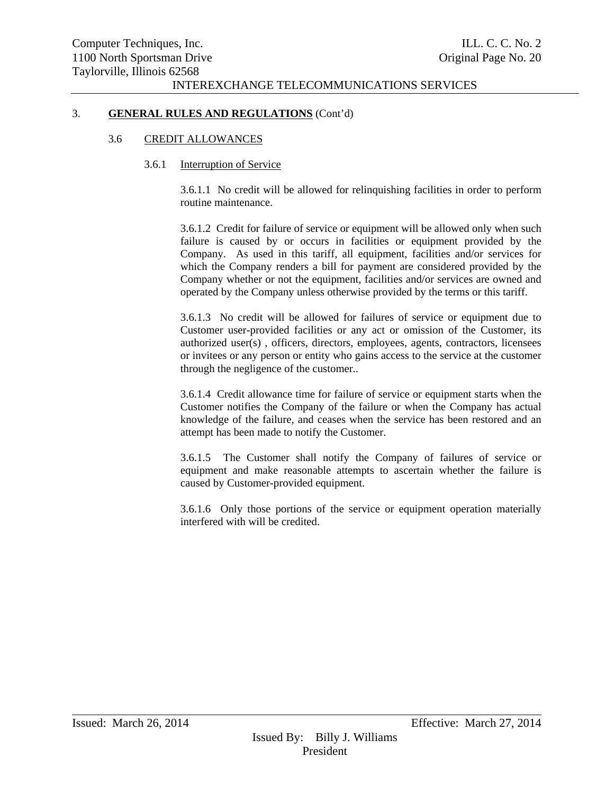#### 3. **GENERAL RULES AND REGULATIONS** (Cont'd)

#### 3.6 CREDIT ALLOWANCES

#### 3.6.1 Interruption of Service

3.6.1.1 No credit will be allowed for relinquishing facilities in order to perform routine maintenance.

3.6.1.2 Credit for failure of service or equipment will be allowed only when such failure is caused by or occurs in facilities or equipment provided by the Company. As used in this tariff, all equipment, facilities and/or services for which the Company renders a bill for payment are considered provided by the Company whether or not the equipment, facilities and/or services are owned and operated by the Company unless otherwise provided by the terms or this tariff.

3.6.1.3 No credit will be allowed for failures of service or equipment due to Customer user-provided facilities or any act or omission of the Customer, its authorized user(s) , officers, directors, employees, agents, contractors, licensees or invitees or any person or entity who gains access to the service at the customer through the negligence of the customer..

3.6.1.4 Credit allowance time for failure of service or equipment starts when the Customer notifies the Company of the failure or when the Company has actual knowledge of the failure, and ceases when the service has been restored and an attempt has been made to notify the Customer.

3.6.1.5 The Customer shall notify the Company of failures of service or equipment and make reasonable attempts to ascertain whether the failure is caused by Customer-provided equipment.

3.6.1.6 Only those portions of the service or equipment operation materially interfered with will be credited.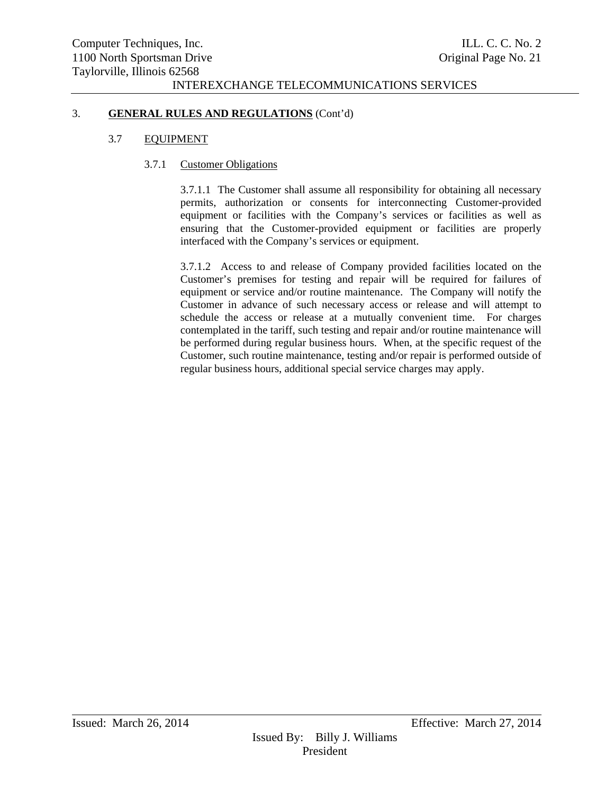#### 3. **GENERAL RULES AND REGULATIONS** (Cont'd)

#### 3.7 EQUIPMENT

#### 3.7.1 Customer Obligations

3.7.1.1 The Customer shall assume all responsibility for obtaining all necessary permits, authorization or consents for interconnecting Customer-provided equipment or facilities with the Company's services or facilities as well as ensuring that the Customer-provided equipment or facilities are properly interfaced with the Company's services or equipment.

3.7.1.2 Access to and release of Company provided facilities located on the Customer's premises for testing and repair will be required for failures of equipment or service and/or routine maintenance. The Company will notify the Customer in advance of such necessary access or release and will attempt to schedule the access or release at a mutually convenient time. For charges contemplated in the tariff, such testing and repair and/or routine maintenance will be performed during regular business hours. When, at the specific request of the Customer, such routine maintenance, testing and/or repair is performed outside of regular business hours, additional special service charges may apply.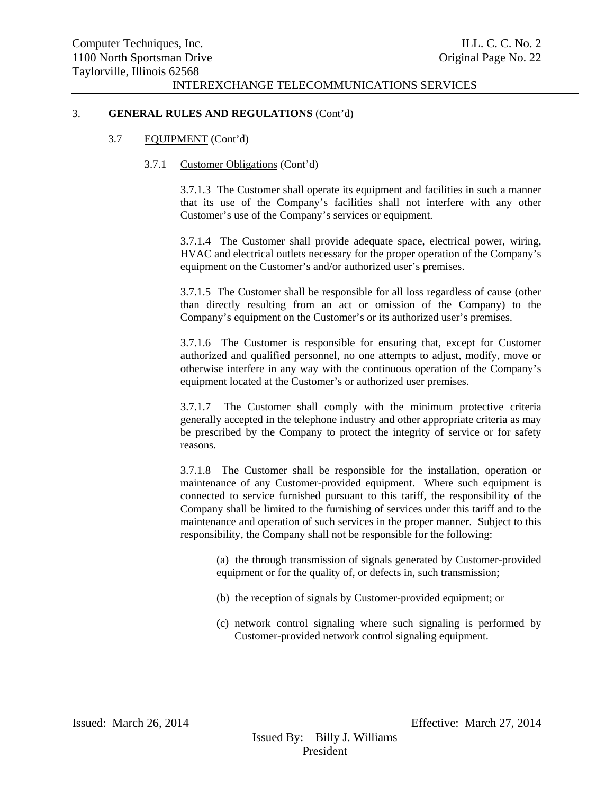#### 3. **GENERAL RULES AND REGULATIONS** (Cont'd)

#### 3.7 EQUIPMENT (Cont'd)

#### 3.7.1 Customer Obligations (Cont'd)

3.7.1.3 The Customer shall operate its equipment and facilities in such a manner that its use of the Company's facilities shall not interfere with any other Customer's use of the Company's services or equipment.

3.7.1.4 The Customer shall provide adequate space, electrical power, wiring, HVAC and electrical outlets necessary for the proper operation of the Company's equipment on the Customer's and/or authorized user's premises.

3.7.1.5 The Customer shall be responsible for all loss regardless of cause (other than directly resulting from an act or omission of the Company) to the Company's equipment on the Customer's or its authorized user's premises.

3.7.1.6 The Customer is responsible for ensuring that, except for Customer authorized and qualified personnel, no one attempts to adjust, modify, move or otherwise interfere in any way with the continuous operation of the Company's equipment located at the Customer's or authorized user premises.

3.7.1.7 The Customer shall comply with the minimum protective criteria generally accepted in the telephone industry and other appropriate criteria as may be prescribed by the Company to protect the integrity of service or for safety reasons.

3.7.1.8 The Customer shall be responsible for the installation, operation or maintenance of any Customer-provided equipment. Where such equipment is connected to service furnished pursuant to this tariff, the responsibility of the Company shall be limited to the furnishing of services under this tariff and to the maintenance and operation of such services in the proper manner. Subject to this responsibility, the Company shall not be responsible for the following:

(a) the through transmission of signals generated by Customer-provided equipment or for the quality of, or defects in, such transmission;

- (b) the reception of signals by Customer-provided equipment; or
- (c) network control signaling where such signaling is performed by Customer-provided network control signaling equipment.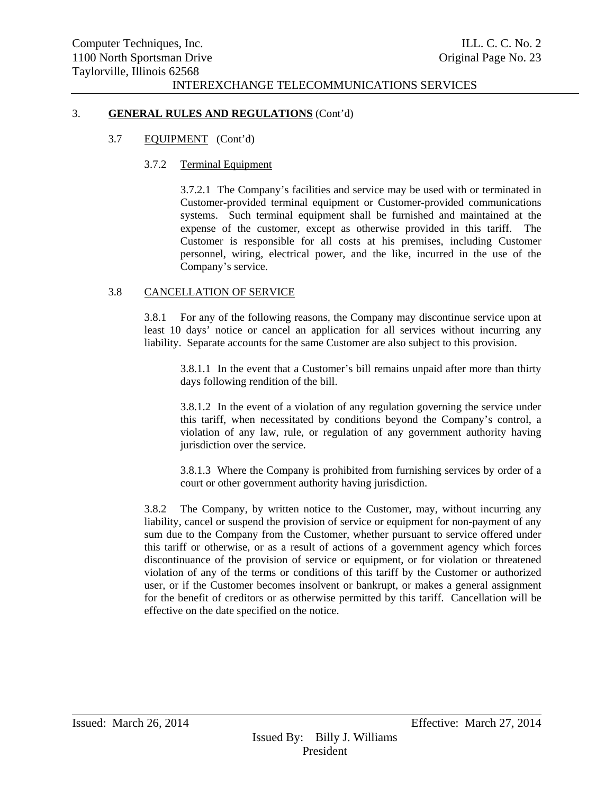#### 3. **GENERAL RULES AND REGULATIONS** (Cont'd)

#### 3.7 EQUIPMENT (Cont'd)

#### 3.7.2 Terminal Equipment

3.7.2.1 The Company's facilities and service may be used with or terminated in Customer-provided terminal equipment or Customer-provided communications systems. Such terminal equipment shall be furnished and maintained at the expense of the customer, except as otherwise provided in this tariff. The Customer is responsible for all costs at his premises, including Customer personnel, wiring, electrical power, and the like, incurred in the use of the Company's service.

#### 3.8 CANCELLATION OF SERVICE

3.8.1 For any of the following reasons, the Company may discontinue service upon at least 10 days' notice or cancel an application for all services without incurring any liability. Separate accounts for the same Customer are also subject to this provision.

3.8.1.1 In the event that a Customer's bill remains unpaid after more than thirty days following rendition of the bill.

3.8.1.2 In the event of a violation of any regulation governing the service under this tariff, when necessitated by conditions beyond the Company's control, a violation of any law, rule, or regulation of any government authority having jurisdiction over the service.

3.8.1.3 Where the Company is prohibited from furnishing services by order of a court or other government authority having jurisdiction.

3.8.2 The Company, by written notice to the Customer, may, without incurring any liability, cancel or suspend the provision of service or equipment for non-payment of any sum due to the Company from the Customer, whether pursuant to service offered under this tariff or otherwise, or as a result of actions of a government agency which forces discontinuance of the provision of service or equipment, or for violation or threatened violation of any of the terms or conditions of this tariff by the Customer or authorized user, or if the Customer becomes insolvent or bankrupt, or makes a general assignment for the benefit of creditors or as otherwise permitted by this tariff. Cancellation will be effective on the date specified on the notice.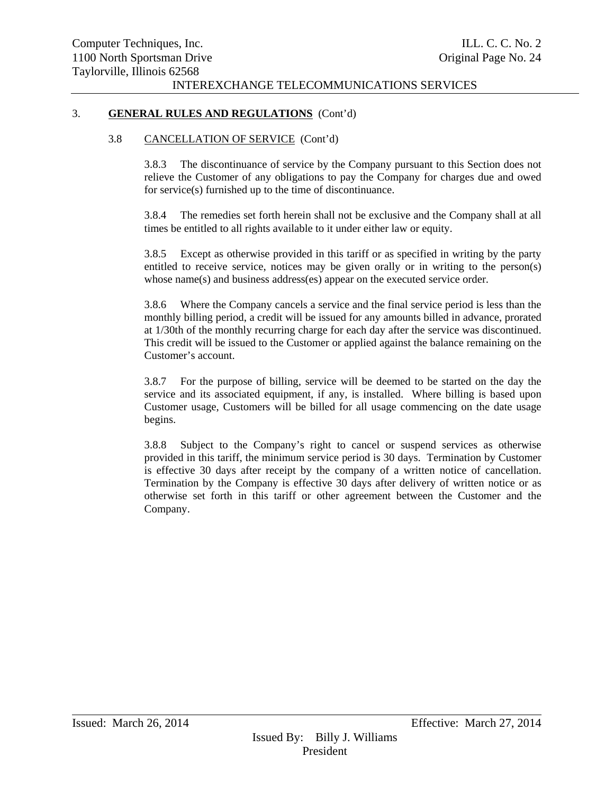#### 3. **GENERAL RULES AND REGULATIONS** (Cont'd)

#### 3.8 CANCELLATION OF SERVICE (Cont'd)

3.8.3 The discontinuance of service by the Company pursuant to this Section does not relieve the Customer of any obligations to pay the Company for charges due and owed for service(s) furnished up to the time of discontinuance.

3.8.4 The remedies set forth herein shall not be exclusive and the Company shall at all times be entitled to all rights available to it under either law or equity.

3.8.5 Except as otherwise provided in this tariff or as specified in writing by the party entitled to receive service, notices may be given orally or in writing to the person(s) whose name(s) and business address(es) appear on the executed service order.

3.8.6 Where the Company cancels a service and the final service period is less than the monthly billing period, a credit will be issued for any amounts billed in advance, prorated at 1/30th of the monthly recurring charge for each day after the service was discontinued. This credit will be issued to the Customer or applied against the balance remaining on the Customer's account.

3.8.7 For the purpose of billing, service will be deemed to be started on the day the service and its associated equipment, if any, is installed. Where billing is based upon Customer usage, Customers will be billed for all usage commencing on the date usage begins.

3.8.8 Subject to the Company's right to cancel or suspend services as otherwise provided in this tariff, the minimum service period is 30 days. Termination by Customer is effective 30 days after receipt by the company of a written notice of cancellation. Termination by the Company is effective 30 days after delivery of written notice or as otherwise set forth in this tariff or other agreement between the Customer and the Company.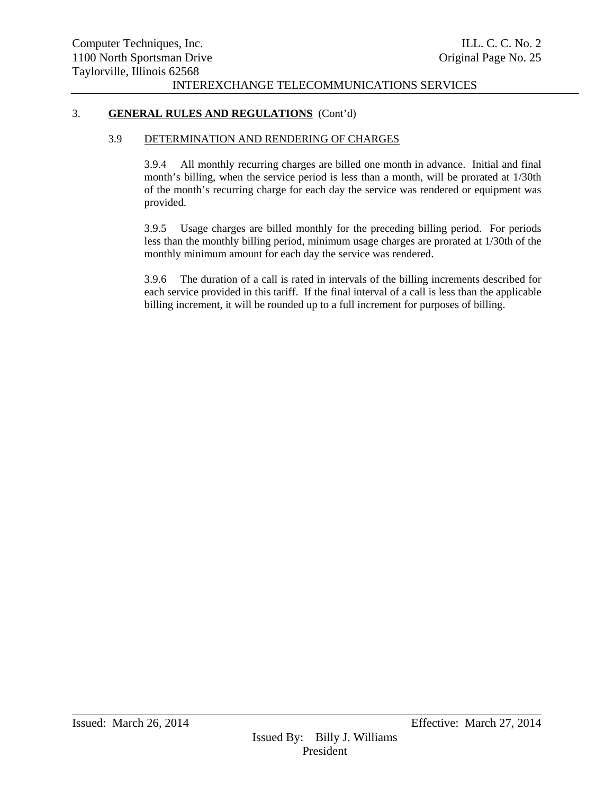## 3. **GENERAL RULES AND REGULATIONS** (Cont'd)

#### 3.9 DETERMINATION AND RENDERING OF CHARGES

3.9.4 All monthly recurring charges are billed one month in advance. Initial and final month's billing, when the service period is less than a month, will be prorated at 1/30th of the month's recurring charge for each day the service was rendered or equipment was provided.

3.9.5 Usage charges are billed monthly for the preceding billing period. For periods less than the monthly billing period, minimum usage charges are prorated at 1/30th of the monthly minimum amount for each day the service was rendered.

3.9.6 The duration of a call is rated in intervals of the billing increments described for each service provided in this tariff. If the final interval of a call is less than the applicable billing increment, it will be rounded up to a full increment for purposes of billing.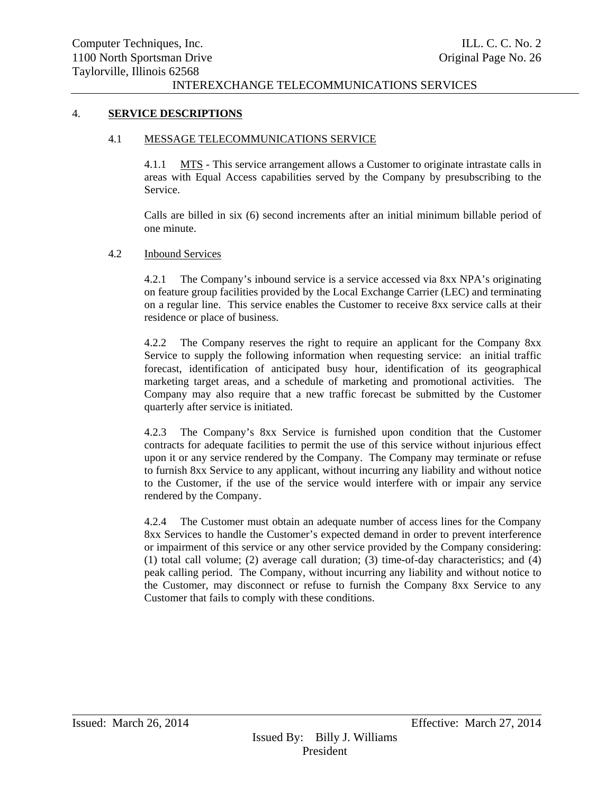#### 4. **SERVICE DESCRIPTIONS**

#### 4.1 MESSAGE TELECOMMUNICATIONS SERVICE

4.1.1 MTS - This service arrangement allows a Customer to originate intrastate calls in areas with Equal Access capabilities served by the Company by presubscribing to the Service.

Calls are billed in six (6) second increments after an initial minimum billable period of one minute.

#### 4.2 Inbound Services

4.2.1 The Company's inbound service is a service accessed via 8xx NPA's originating on feature group facilities provided by the Local Exchange Carrier (LEC) and terminating on a regular line. This service enables the Customer to receive 8xx service calls at their residence or place of business.

4.2.2 The Company reserves the right to require an applicant for the Company 8xx Service to supply the following information when requesting service: an initial traffic forecast, identification of anticipated busy hour, identification of its geographical marketing target areas, and a schedule of marketing and promotional activities. The Company may also require that a new traffic forecast be submitted by the Customer quarterly after service is initiated.

4.2.3 The Company's 8xx Service is furnished upon condition that the Customer contracts for adequate facilities to permit the use of this service without injurious effect upon it or any service rendered by the Company. The Company may terminate or refuse to furnish 8xx Service to any applicant, without incurring any liability and without notice to the Customer, if the use of the service would interfere with or impair any service rendered by the Company.

4.2.4 The Customer must obtain an adequate number of access lines for the Company 8xx Services to handle the Customer's expected demand in order to prevent interference or impairment of this service or any other service provided by the Company considering: (1) total call volume; (2) average call duration; (3) time-of-day characteristics; and (4) peak calling period. The Company, without incurring any liability and without notice to the Customer, may disconnect or refuse to furnish the Company 8xx Service to any Customer that fails to comply with these conditions.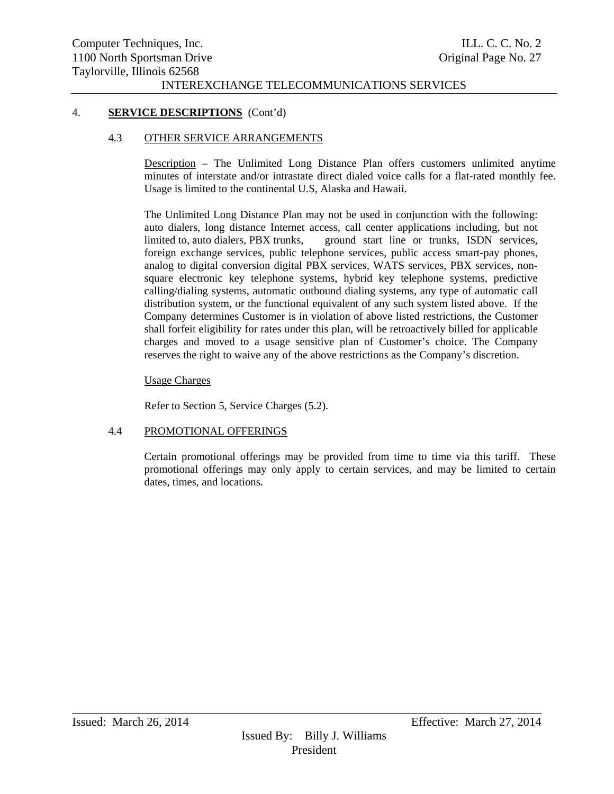#### 4. **SERVICE DESCRIPTIONS** (Cont'd)

#### 4.3 OTHER SERVICE ARRANGEMENTS

Description – The Unlimited Long Distance Plan offers customers unlimited anytime minutes of interstate and/or intrastate direct dialed voice calls for a flat-rated monthly fee. Usage is limited to the continental U.S, Alaska and Hawaii.

The Unlimited Long Distance Plan may not be used in conjunction with the following: auto dialers, long distance Internet access, call center applications including, but not limited to, auto dialers, PBX trunks, ground start line or trunks, ISDN services, foreign exchange services, public telephone services, public access smart-pay phones, analog to digital conversion digital PBX services, WATS services, PBX services, nonsquare electronic key telephone systems, hybrid key telephone systems, predictive calling/dialing systems, automatic outbound dialing systems, any type of automatic call distribution system, or the functional equivalent of any such system listed above. If the Company determines Customer is in violation of above listed restrictions, the Customer shall forfeit eligibility for rates under this plan, will be retroactively billed for applicable charges and moved to a usage sensitive plan of Customer's choice. The Company reserves the right to waive any of the above restrictions as the Company's discretion.

#### Usage Charges

Refer to Section 5, Service Charges (5.2).

## 4.4 PROMOTIONAL OFFERINGS

Certain promotional offerings may be provided from time to time via this tariff. These promotional offerings may only apply to certain services, and may be limited to certain dates, times, and locations.